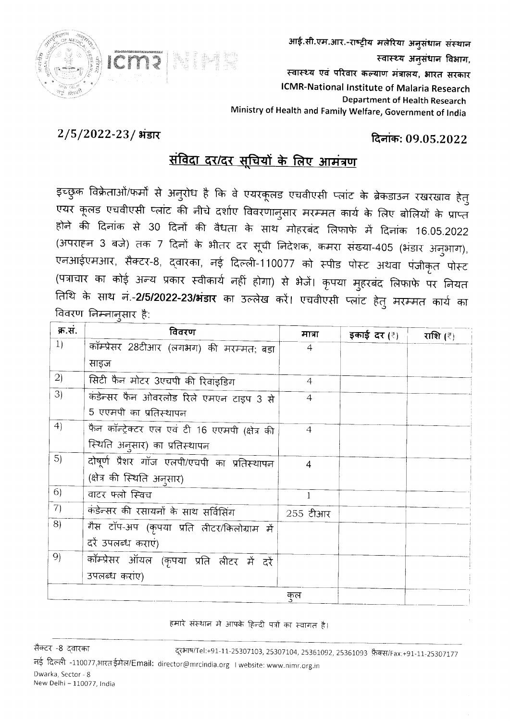

आई.सी.एम.आर.-राष्ट्रीय मलेरिया अनुसंधान संस्थान स्वास्थ्य अनुसंधान विभाग, स्वास्थ्य एवं परिवार कल्याण मंत्रालय, भारत सरकार **ICMR-National Institute of Malaria Research Department of Health Research** Ministry of Health and Family Welfare, Government of India

## $2/5/2022 - 23/$  भंडार

## दिनांक: 09.05.2022

# संविदा दर/दर सूचियों के लिए आमंत्रण

इच्छुक विक्रेताओं/फर्मों से अनुरोध है कि वे एयरकूलड एचवीएसी प्लांट के ब्रेकडाउन रखरखाव हेतु एयर कूलड एचवीएसी प्लांट की नीचे दर्शाए विवरणानुसार मरम्मत कार्य के लिए बोलियों के प्राप्त होने की दिनांक से 30 दिनों की वैधता के साथ मोहरबंद लिफाफे में दिनांक 16.05.2022 (अपराहन 3 बजे) तक 7 दिनों के भीतर दर सूची निदेशक, कमरा संख्या-405 (भंडार अन्आग), एनआईएमआर, सैक्टर-8, दवारका, नई दिल्ली-110077 को स्पीड पोस्ट अथवा पंजीकृत पोस्ट (पत्राचार का कोई अन्य प्रकार स्वीकार्य नहीं होगा) से भेजें। कृपया मुहरबंद लिफाफे पर नियत तिथि के साथ नं.-2/5/2022-23/भंडार का उल्लेख करें। एचवीएसी प्लांट हेत् मरम्मत कार्य का विवरण निम्नानुसार है:

| क्र.सं. | विवरण                                           | मात्रा         | इकाई दर (₹) । | राशि $(3)$ |
|---------|-------------------------------------------------|----------------|---------------|------------|
| 1)      | कॉम्प्रेसर 28टीआर (लगभग) की मरम्मत; बड़ा        | 4              |               |            |
|         | साइज                                            |                |               |            |
| 2)      | सिटी फैन मोटर 3एचपी की रिवांइडिग                | $\overline{4}$ |               |            |
| 3)      | कंडेन्सर फैन ओवरलोड रिले एमएन टाइप 3 से         | $\overline{4}$ |               |            |
|         | 5 एएमपी का प्रतिस्थापन                          |                |               |            |
| 4)      | फैन कॉन्ट्रेक्टर एल एवं टी 16 एएमपी (क्षेत्र की | $\overline{4}$ |               |            |
|         | स्थिति अनुसार) का प्रतिस्थापन                   |                |               |            |
| 5)      | दोषूर्ण प्रैशर गॉज एलपी/एचपी का प्रतिस्थापन     | $\overline{4}$ |               |            |
|         | (क्षेत्र की स्थिति अनुसार)                      |                |               |            |
| 6)      | वाटर फ्लो स्विच                                 | 1              |               |            |
| 7)      | कंडेन्सर की रसायनों के साथ सर्विसिंग            | 255 टीआर       |               |            |
| 8)      | गैस टॉप-अप (कृपया प्रति लीटर/किलोग्राम में      |                |               |            |
|         | दरें उपलब्ध कराएं)                              |                |               |            |
| 9)      | कॉम्प्रेसर ऑयल (कृपया प्रति लीटर में दरें       |                |               |            |
|         | उपलब्ध करांए)                                   |                |               |            |
|         |                                                 | कुल            |               |            |

हमारे संस्थान में आपके हिन्दी पत्रों का स्वागत है।

दूरभाष/Tel:+91-11-25307103, 25307104, 25361092, 25361093 फ़ैक्स/Fax:+91-11-25307177

नई दिल्ली -110077,भारत ईमेल/Email: director@mrcindia.org । website: www.nimr.org.in Dwarka, Sector - 8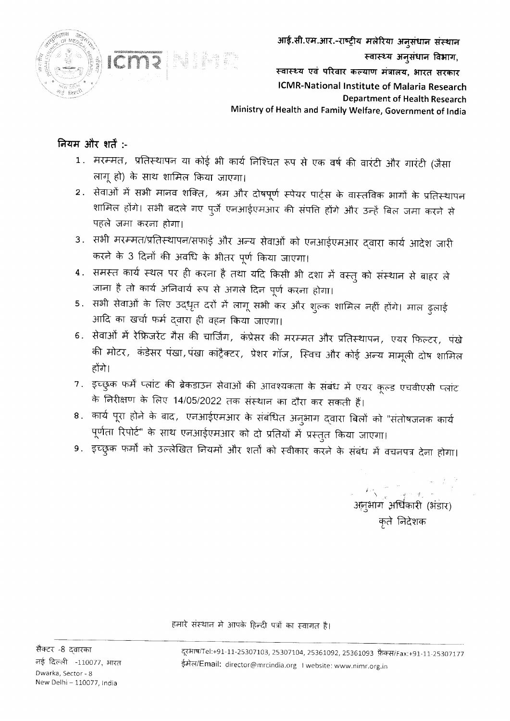

आई.सी.एम.आर.-राष्ट्रीय मलेरिया अनुसंधान संस्थान स्वास्थ्य अनूसंधान विभाग, स्वास्थ्य एवं परिवार कल्याण मंत्रालय, भारत सरकार **ICMR-National Institute of Malaria Research Department of Health Research** Ministry of Health and Family Welfare, Government of India

### नियम और शर्ते :-

- 1. मरम्मत, प्रतिस्थापन या कोई भी कार्य निश्चित रूप से एक वर्ष की वारंटी और गारंटी (जैसा लागू हो) के साथ शामिल किया जाएगा।
- 2 . सेवाओं में सभी मानव शक्ति, श्रम और दोषपूर्ण स्पेयर पार्ट्स के वास्तविक भागों के प्रतिस्थापन शामिल होंगे। सभी बदले गए पुर्जे एनआईएमआर की संपति होंगे और उन्हें बिल जमा करने से पहले जमा करना होगा।
- 3. सभी मरम्मत/प्रतिस्थापन/सफाई और अन्य सेवाओं को एनआईएमआर द्वारा कार्य आदेश जारी करने के 3 दिनों की अवधि के भीतर पूर्ण किया जाएगा।
- 4. समस्त कार्य स्थल पर ही करना है तथा यदि किसी भी दशा में वस्तु को संस्थान से बाहर ले जाना है तो कार्य अनिवार्य रूप से अगले दिन पूर्ण करना होगा।
- 5. सभी सेवाओं के लिए उद्धृत दरों में लागू सभी कर और शुल्क शामिल नहीं होंगे। माल ढुलाई आदि का खर्चा फर्म दवारा ही वहन किया जाएगा।
- 6. सेवाओं में रेफ्रिजरेंट गैस की चार्जिंग, कंप्रेसर की मरम्मत और प्रतिस्थापन, एयर फिल्टर, पंखे की मोटर, कंडेसर पंखा,पंखा कांट्रैक्टर, प्रेशर गॉज, स्विच और कोई अन्य मामूली दोष शामिल होंगे।
- 7. इच्छुक फर्में प्लांट की ब्रेकडाउन सेवाओं की आवश्यकता के संबंध में एयर कूल्ड एचवीएसी प्लांट के निरीक्षण के लिए 14/05/2022 तक संस्थान का दौरा कर सकती हैं।
- 8. कार्य पूरा होने के बाद, एनआईएमआर के संबंधित अन्आग द्वारा बिलों को "संतोषजनक कार्य पूर्णता रिपोर्ट" के साथ एनआईएमआर को दो प्रतियों में प्रस्तुत किया जाएगा।
- 9. इच्छुक फर्मो को उल्लेखित नियमों और शर्तों को स्वीकार करने के संबंध में वचनपत्र देना होगा।

अनुभाग अधिकारी (भंडार) कृते निदेशक

हमारे संस्थान में आपके हिन्दी पत्रों का स्वागत है।

दूरभाष/Tel:+91-11-25307103, 25307104, 25361092, 25361093 फ़ैक्स/Fax:+91-11-25307177 ईमेल/Email: director@mrcindia.org | website: www.nimr.org.in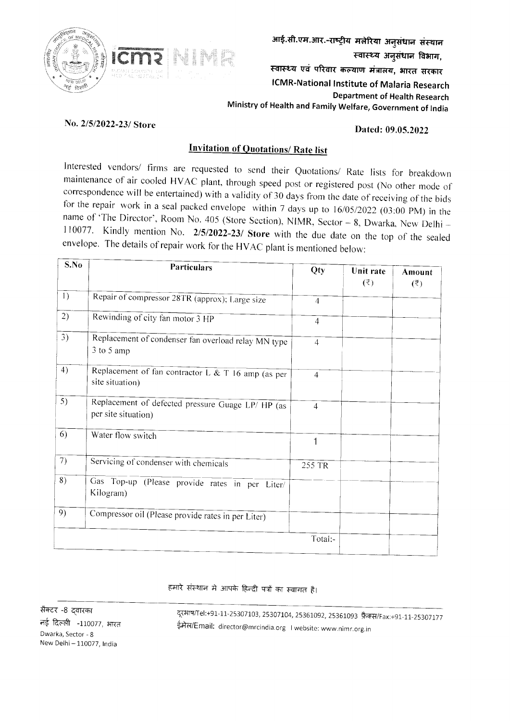

आई.सी.एम.आर.-राष्ट्रीय मलेरिया अनुसंधान संस्थान स्वास्थ्य अनुसंधान विभाग, स्वास्थ्य एवं परिवार कल्याण मंत्रालय, भारत सरकार **ICMR-National Institute of Malaria Research** Department of Health Research Ministry of Health and Family Welfare, Government of India

#### No. 2/5/2022-23/ Store

#### Dated: 09.05.2022

#### **Invitation of Quotations/ Rate list**

Interested vendors/ firms are requested to send their Quotations/ Rate lists for breakdown maintenance of air cooled HVAC plant, through speed post or registered post (No other mode of correspondence will be entertained) with a validity of 30 days from the date of receiving of the bids for the repair work in a seal packed envelope within 7 days up to  $16/05/2022$  (03:00 PM) in the name of 'The Director', Room No. 405 (Store Section), NIMR, Sector - 8, Dwarka, New Delhi -110077. Kindly mention No. 2/5/2022-23/ Store with the due date on the top of the sealed envelope. The details of repair work for the HVAC plant is mentioned below:

| S.No | <b>Particulars</b>                                                       | Qty            | Unit rate       | Amount          |
|------|--------------------------------------------------------------------------|----------------|-----------------|-----------------|
|      |                                                                          |                | $(\bar{\zeta})$ | $(\bar{\zeta})$ |
| 1)   | Repair of compressor 28TR (approx); Large size                           | $\overline{4}$ |                 |                 |
| 2)   | Rewinding of city fan motor 3 HP                                         | $\overline{4}$ |                 |                 |
| 3)   | Replacement of condenser fan overload relay MN type<br>3 to 5 amp        | $\overline{4}$ |                 |                 |
| 4)   | Replacement of fan contractor L & T 16 amp (as per<br>site situation)    | $\overline{4}$ |                 |                 |
| 5)   | Replacement of defected pressure Guage LP/ HP (as<br>per site situation) | $\overline{4}$ |                 |                 |
| 6)   | Water flow switch                                                        | 1              |                 |                 |
| 7)   | Servicing of condenser with chemicals                                    | 255 TR         |                 |                 |
| 8)   | Gas Top-up (Please provide rates in per Liter/<br>Kilogram)              |                |                 |                 |
| 9)   | Compressor oil (Please provide rates in per Liter)                       |                |                 |                 |
|      |                                                                          | Total:-        |                 |                 |

हमारे संस्थान में आपके हिन्दी पत्रों का स्वागत है।

सैक्टर -8 दवारका नई दिल्ली -110077, भारत Dwarka, Sector - 8 New Delhi - 110077, India

दूरभाष/Tel:+91-11-25307103, 25307104, 25361092, 25361093 फ़ैक्स/Fax:+91-11-25307177 ईमेल/Email: director@mrcindia.org | website: www.nimr.org.in